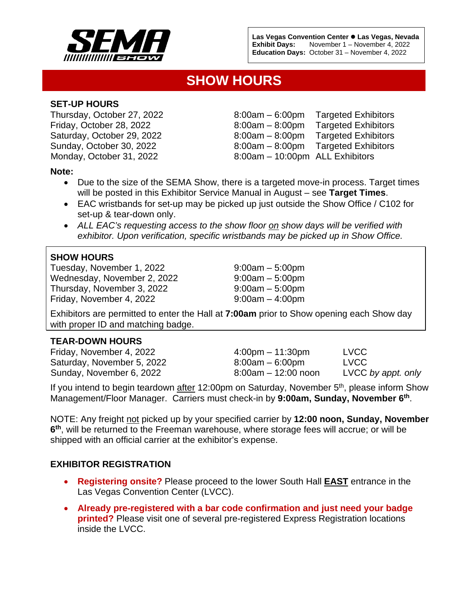

**Las Vegas Convention Center Las Vegas, Nevada Exhibit Days:** November 1 – November 4, 2022 **Education Days:** October 31 – November 4, 2022

## **SHOW HOURS**

#### **SET-UP HOURS**

Thursday, October 27, 2022 8:00am – 6:00pm Targeted Exhibitors Friday, October 28, 2022 8:00am – 8:00pm Targeted Exhibitors Saturday, October 29, 2022 8:00am – 8:00pm Targeted Exhibitors Sunday, October 30, 2022 8:00am – 8:00pm Targeted Exhibitors Monday, October 31, 2022 8:00am – 10:00pm ALL Exhibitors

#### **Note:**

- Due to the size of the SEMA Show, there is a targeted move-in process. Target times will be posted in this Exhibitor Service Manual in August – see **Target Times**.
- EAC wristbands for set-up may be picked up just outside the Show Office / C102 for set-up & tear-down only.
- *ALL EAC's requesting access to the show floor on show days will be verified with exhibitor. Upon verification, specific wristbands may be picked up in Show Office.*

## **SHOW HOURS**

Tuesday, November 1, 2022 9:00am – 5:00pm Wednesday, November 2, 2022 9:00am – 5:00pm Thursday, November 3, 2022 9:00am – 5:00pm Friday, November 4, 2022 9:00am – 4:00pm

Exhibitors are permitted to enter the Hall at **7:00am** prior to Show opening each Show day with proper ID and matching badge.

### **TEAR-DOWN HOURS**

Friday, November 4, 2022 4:00pm – 11:30pm LVCC Saturday, November 5, 2022 8:00am – 6:00pm LVCC Sunday, November 6, 2022 8:00am – 12:00 noon LVCC *by appt. only*

If you intend to begin teardown after 12:00pm on Saturday, November  $5<sup>th</sup>$ , please inform Show Management/Floor Manager. Carriers must check-in by **9:00am, Sunday, November 6th** .

NOTE: Any freight not picked up by your specified carrier by **12:00 noon, Sunday, November 6 th**, will be returned to the Freeman warehouse, where storage fees will accrue; or will be shipped with an official carrier at the exhibitor's expense.

### **EXHIBITOR REGISTRATION**

- **Registering onsite?** Please proceed to the lower South Hall **EAST** entrance in the Las Vegas Convention Center (LVCC).
- **Already pre-registered with a bar code confirmation and just need your badge printed?** Please visit one of several pre-registered Express Registration locations inside the LVCC.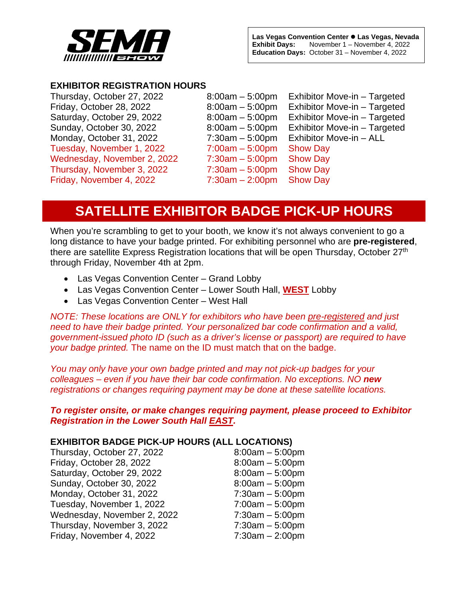

### **EXHIBITOR REGISTRATION HOURS**

Monday, October 31, 2022 7:30am – 5:00pm Exhibitor Move-in – ALL Tuesday, November 1, 2022 7:00am – 5:00pm Show Day Wednesday, November 2, 2022 7:30am – 5:00pm Show Day Thursday, November 3, 2022 7:30am – 5:00pm Show Day Friday, November 4, 2022 7:30am – 2:00pm Show Day

Thursday, October 27, 2022 8:00am – 5:00pm Exhibitor Move-in – Targeted Friday, October 28, 2022 8:00am – 5:00pm Exhibitor Move-in – Targeted Saturday, October 29, 2022 8:00am – 5:00pm Exhibitor Move-in – Targeted Sunday, October 30, 2022 8:00am – 5:00pm Exhibitor Move-in – Targeted

# **SATELLITE EXHIBITOR BADGE PICK-UP HOURS**

When you're scrambling to get to your booth, we know it's not always convenient to go a long distance to have your badge printed. For exhibiting personnel who are **pre-registered**, there are satellite Express Registration locations that will be open Thursday, October 27<sup>th</sup> through Friday, November 4th at 2pm.

- Las Vegas Convention Center Grand Lobby
- Las Vegas Convention Center Lower South Hall, **WEST** Lobby
- Las Vegas Convention Center West Hall

*NOTE: These locations are ONLY for exhibitors who have been pre-registered and just need to have their badge printed. Your personalized bar code confirmation and a valid, government-issued photo ID (such as a driver's license or passport) are required to have your badge printed.* The name on the ID must match that on the badge.

*You may only have your own badge printed and may not pick-up badges for your colleagues – even if you have their bar code confirmation. No exceptions. NO new registrations or changes requiring payment may be done at these satellite locations.* 

### *To register onsite, or make changes requiring payment, please proceed to Exhibitor Registration in the Lower South Hall EAST.*

#### **EXHIBITOR BADGE PICK-UP HOURS (ALL LOCATIONS)**

| Thursday, October 27, 2022  | $8:00am - 5:00pm$ |
|-----------------------------|-------------------|
| Friday, October 28, 2022    | $8:00am - 5:00pm$ |
| Saturday, October 29, 2022  | $8:00am - 5:00pm$ |
| Sunday, October 30, 2022    | $8:00am - 5:00pm$ |
| Monday, October 31, 2022    | $7:30am - 5:00pm$ |
| Tuesday, November 1, 2022   | $7:00am - 5:00pm$ |
| Wednesday, November 2, 2022 | $7:30am - 5:00pm$ |
| Thursday, November 3, 2022  | $7:30am - 5:00pm$ |
| Friday, November 4, 2022    | $7:30am - 2:00pm$ |